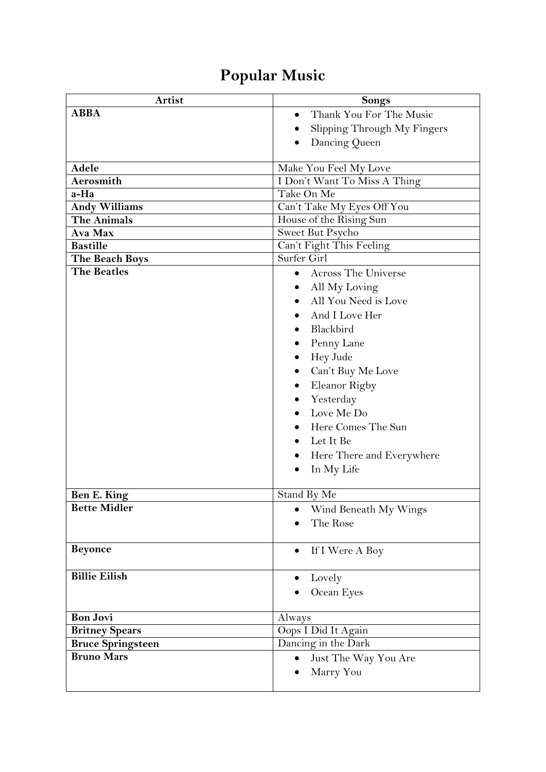## **Popular Music**

| Artist                   | <b>Songs</b>                            |
|--------------------------|-----------------------------------------|
| <b>ABBA</b>              | Thank You For The Music<br>$\bullet$    |
|                          | Slipping Through My Fingers             |
|                          | Dancing Queen                           |
|                          |                                         |
| Adele                    | Make You Feel My Love                   |
| Aerosmith                | I Don't Want To Miss A Thing            |
| a-Ha                     | Take On Me                              |
| <b>Andy Williams</b>     | Can't Take My Eyes Off You              |
| <b>The Animals</b>       | House of the Rising Sun                 |
| Ava Max                  | Sweet But Psycho                        |
| <b>Bastille</b>          | Can't Fight This Feeling                |
| The Beach Boys           | Surfer Girl                             |
| <b>The Beatles</b>       | <b>Across The Universe</b><br>$\bullet$ |
|                          | All My Loving                           |
|                          | All You Need is Love                    |
|                          | And I Love Her                          |
|                          | Blackbird                               |
|                          | Penny Lane                              |
|                          | Hey Jude<br>٠                           |
|                          | Can't Buy Me Love                       |
|                          | Eleanor Rigby                           |
|                          | Yesterday                               |
|                          | Love Me Do                              |
|                          | Here Comes The Sun                      |
|                          | Let It Be                               |
|                          | Here There and Everywhere               |
|                          | In My Life                              |
|                          |                                         |
| Ben E. King              | Stand By Me                             |
| <b>Bette Midler</b>      | Wind Beneath My Wings                   |
|                          | The Rose                                |
|                          |                                         |
| <b>Beyonce</b>           | If I Were A Boy<br>٠                    |
|                          |                                         |
| <b>Billie Eilish</b>     | Lovely                                  |
|                          | Ocean Eyes                              |
|                          |                                         |
| <b>Bon Jovi</b>          | Always                                  |
| <b>Britney Spears</b>    | Oops I Did It Again                     |
| <b>Bruce Springsteen</b> | Dancing in the Dark                     |
| <b>Bruno Mars</b>        | Just The Way You Are                    |
|                          | Marry You                               |
|                          |                                         |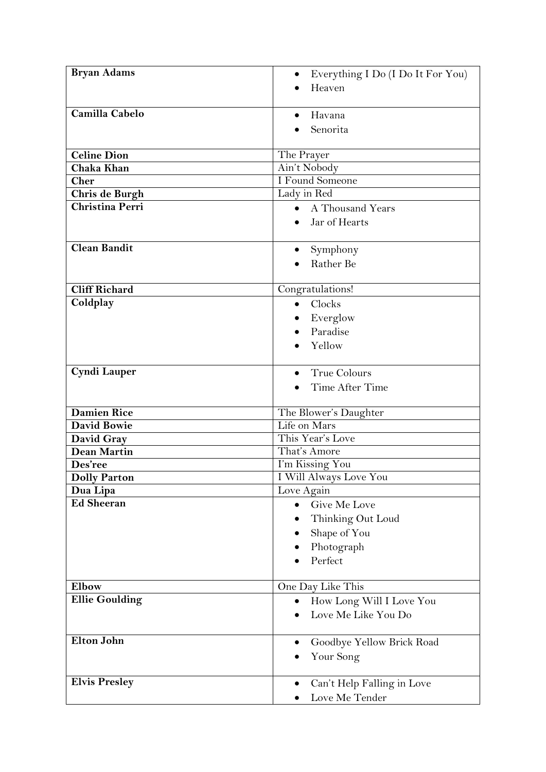| <b>Bryan Adams</b>    | Everything I Do (I Do It For You) |
|-----------------------|-----------------------------------|
|                       | Heaven                            |
|                       |                                   |
| Camilla Cabelo        | Havana                            |
|                       | Senorita                          |
|                       |                                   |
| <b>Celine Dion</b>    | The Prayer                        |
| Chaka Khan            | Ain't Nobody                      |
| <b>Cher</b>           | I Found Someone                   |
| <b>Chris de Burgh</b> | Lady in Red                       |
| Christina Perri       | A Thousand Years<br>$\bullet$     |
|                       | Jar of Hearts                     |
|                       |                                   |
| <b>Clean Bandit</b>   | Symphony                          |
|                       | Rather Be                         |
|                       |                                   |
| <b>Cliff Richard</b>  | Congratulations!                  |
| Coldplay              | Clocks<br>$\bullet$               |
|                       | Everglow                          |
|                       | Paradise                          |
|                       | Yellow                            |
|                       |                                   |
| <b>Cyndi Lauper</b>   | <b>True Colours</b>               |
|                       | Time After Time                   |
|                       |                                   |
| <b>Damien Rice</b>    | The Blower's Daughter             |
| <b>David Bowie</b>    | Life on Mars                      |
| David Gray            | This Year's Love                  |
| <b>Dean Martin</b>    | That's Amore                      |
| <b>Des'ree</b>        | I'm Kissing You                   |
| <b>Dolly Parton</b>   | I Will Always Love You            |
| Dua Lipa              | Love Again                        |
| <b>Ed Sheeran</b>     | Give Me Love                      |
|                       | Thinking Out Loud                 |
|                       | Shape of You                      |
|                       | Photograph                        |
|                       | Perfect                           |
|                       |                                   |
| Elbow                 | One Day Like This                 |
| <b>Ellie Goulding</b> | How Long Will I Love You          |
|                       | Love Me Like You Do               |
|                       |                                   |
| <b>Elton John</b>     | Goodbye Yellow Brick Road         |
|                       | Your Song                         |
|                       |                                   |
| <b>Elvis Presley</b>  | Can't Help Falling in Love        |
|                       | Love Me Tender                    |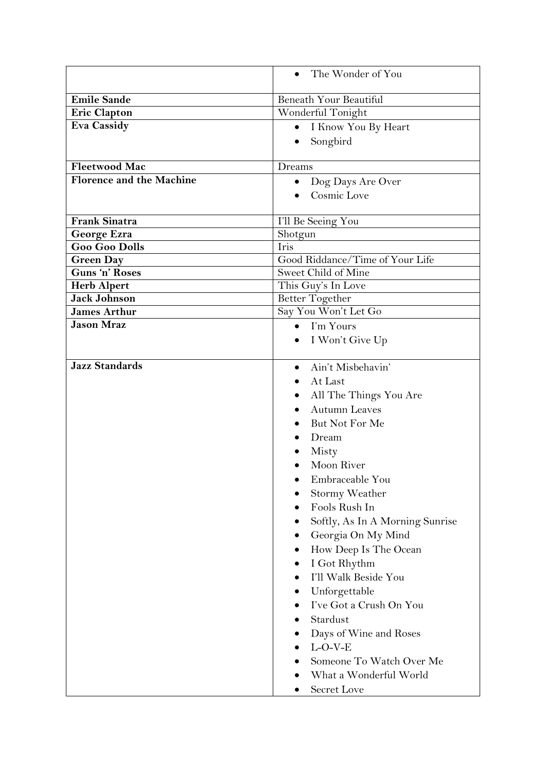|                                          | The Wonder of You                |
|------------------------------------------|----------------------------------|
| <b>Emile Sande</b>                       | Beneath Your Beautiful           |
| <b>Eric Clapton</b>                      | Wonderful Tonight                |
| <b>Eva Cassidy</b>                       | I Know You By Heart<br>$\bullet$ |
|                                          | Songbird                         |
|                                          |                                  |
| <b>Fleetwood Mac</b>                     | Dreams                           |
| <b>Florence and the Machine</b>          | Dog Days Are Over                |
|                                          | Cosmic Love                      |
|                                          |                                  |
| <b>Frank Sinatra</b>                     | I'll Be Seeing You               |
| George Ezra                              | Shotgun                          |
| <b>Goo Goo Dolls</b>                     | Iris                             |
| <b>Green Day</b>                         | Good Riddance/Time of Your Life  |
| Guns 'n' Roses                           | Sweet Child of Mine              |
| <b>Herb Alpert</b>                       | This Guy's In Love               |
| <b>Jack Johnson</b>                      | Better Together                  |
| <b>James Arthur</b><br><b>Jason Mraz</b> | Say You Won't Let Go             |
|                                          | I'm Yours<br>$\bullet$           |
|                                          | I Won't Give Up                  |
| <b>Jazz Standards</b>                    | Ain't Misbehavin'                |
|                                          | At Last                          |
|                                          | All The Things You Are           |
|                                          | <b>Autumn Leaves</b>             |
|                                          | But Not For Me                   |
|                                          | Dream                            |
|                                          | Misty                            |
|                                          | Moon River                       |
|                                          | Embraceable You                  |
|                                          | Stormy Weather                   |
|                                          | Fools Rush In                    |
|                                          | Softly, As In A Morning Sunrise  |
|                                          | Georgia On My Mind               |
|                                          | How Deep Is The Ocean            |
|                                          | I Got Rhythm                     |
|                                          | I'll Walk Beside You             |
|                                          | Unforgettable                    |
|                                          | I've Got a Crush On You          |
|                                          | Stardust                         |
|                                          | Days of Wine and Roses           |
|                                          | $L-O-V-E$                        |
|                                          | Someone To Watch Over Me         |
|                                          | What a Wonderful World           |
|                                          | Secret Love                      |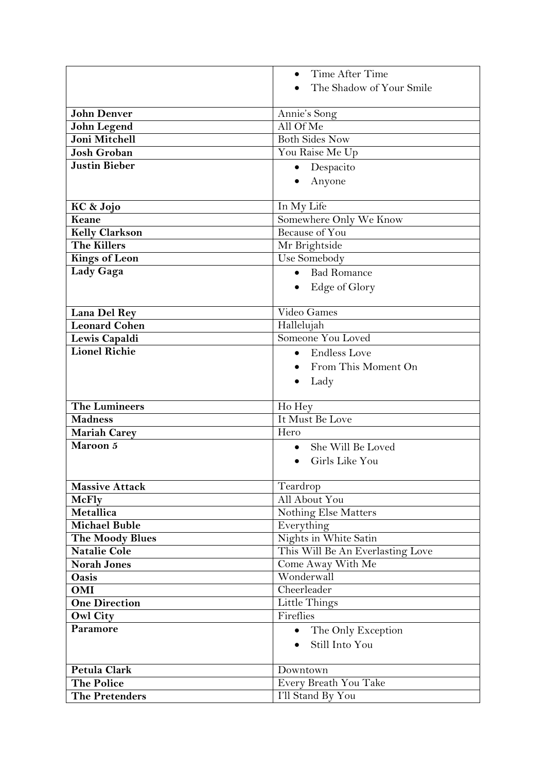|                        | Time After Time<br>$\bullet$     |
|------------------------|----------------------------------|
|                        | The Shadow of Your Smile         |
|                        |                                  |
| <b>John Denver</b>     | Annie's Song                     |
| <b>John Legend</b>     | All Of Me                        |
| Joni Mitchell          | <b>Both Sides Now</b>            |
| <b>Josh Groban</b>     | You Raise Me Up                  |
| <b>Justin Bieber</b>   | Despacito<br>$\bullet$           |
|                        | Anyone                           |
|                        |                                  |
| KC & Jojo              | In My Life                       |
| Keane                  | Somewhere Only We Know           |
| <b>Kelly Clarkson</b>  | <b>Because of You</b>            |
| <b>The Killers</b>     | Mr Brightside                    |
| <b>Kings of Leon</b>   | Use Somebody                     |
| Lady Gaga              | • Bad Romance                    |
|                        | Edge of Glory<br>$\bullet$       |
|                        |                                  |
| Lana Del Rey           | Video Games                      |
| <b>Leonard Cohen</b>   | Hallelujah                       |
| Lewis Capaldi          | Someone You Loved                |
| <b>Lionel Richie</b>   | <b>Endless Love</b><br>$\bullet$ |
|                        | From This Moment On              |
|                        |                                  |
|                        | Lady                             |
| <b>The Lumineers</b>   | Ho Hey                           |
| <b>Madness</b>         | It Must Be Love                  |
| <b>Mariah Carey</b>    | Hero                             |
| Maroon 5               | She Will Be Loved<br>$\bullet$   |
|                        | Girls Like You                   |
|                        |                                  |
| <b>Massive Attack</b>  | Teardrop                         |
| <b>McFly</b>           | All About You                    |
| Metallica              | Nothing Else Matters             |
| <b>Michael Buble</b>   | Everything                       |
| <b>The Moody Blues</b> | Nights in White Satin            |
| <b>Natalie Cole</b>    | This Will Be An Everlasting Love |
| <b>Norah Jones</b>     | Come Away With Me                |
| Oasis                  | Wonderwall                       |
| OMI                    | Cheerleader                      |
| <b>One Direction</b>   | Little Things                    |
| <b>Owl City</b>        | Fireflies                        |
| Paramore               | • The Only Exception             |
|                        | Still Into You<br>$\bullet$      |
|                        |                                  |
| Petula Clark           | Downtown                         |
| <b>The Police</b>      | Every Breath You Take            |
| <b>The Pretenders</b>  | I'll Stand By You                |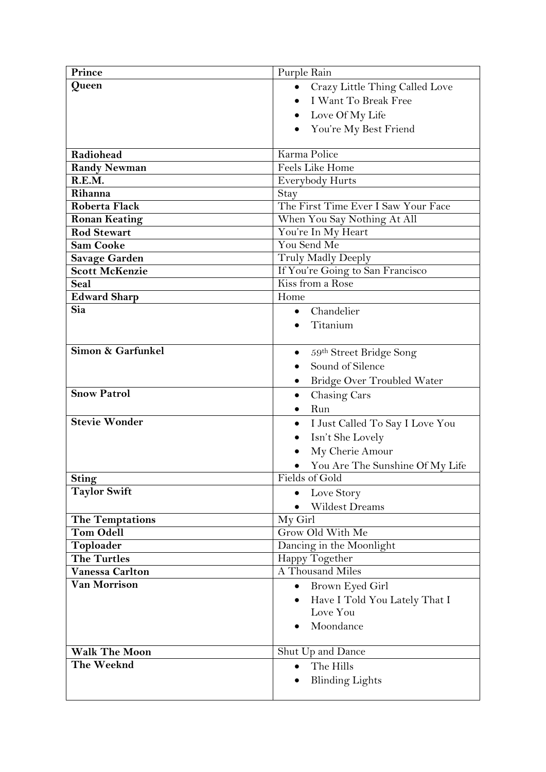| Prince                 | Purple Rain                         |
|------------------------|-------------------------------------|
| Queen                  | Crazy Little Thing Called Love      |
|                        | I Want To Break Free                |
|                        | Love Of My Life                     |
|                        |                                     |
|                        | You're My Best Friend               |
| Radiohead              | Karma Police                        |
| <b>Randy Newman</b>    | Feels Like Home                     |
| R.E.M.                 | <b>Everybody Hurts</b>              |
| Rihanna                | Stay                                |
| Roberta Flack          | The First Time Ever I Saw Your Face |
| <b>Ronan Keating</b>   | When You Say Nothing At All         |
| <b>Rod Stewart</b>     | You're In My Heart                  |
| <b>Sam Cooke</b>       | You Send Me                         |
| <b>Savage Garden</b>   | Truly Madly Deeply                  |
| <b>Scott McKenzie</b>  | If You're Going to San Francisco    |
| Seal                   | Kiss from a Rose                    |
| <b>Edward Sharp</b>    | Home                                |
| Sia                    | Chandelier                          |
|                        | Titanium                            |
|                        |                                     |
| Simon & Garfunkel      | 59th Street Bridge Song             |
|                        | Sound of Silence                    |
|                        | <b>Bridge Over Troubled Water</b>   |
| <b>Snow Patrol</b>     | Chasing Cars<br>٠                   |
|                        | Run                                 |
| <b>Stevie Wonder</b>   | I Just Called To Say I Love You     |
|                        |                                     |
|                        | Isn't She Lovely                    |
|                        | My Cherie Amour                     |
|                        | You Are The Sunshine Of My Life     |
| Sting                  | Fields of Gold                      |
| <b>Taylor Swift</b>    | Love Story                          |
|                        | <b>Wildest Dreams</b>               |
| <b>The Temptations</b> | My Girl                             |
| <b>Tom Odell</b>       | Grow Old With Me                    |
| Toploader              | Dancing in the Moonlight            |
| <b>The Turtles</b>     | Happy Together                      |
| <b>Vanessa Carlton</b> | A Thousand Miles                    |
| <b>Van Morrison</b>    | Brown Eyed Girl<br>$\bullet$        |
|                        | Have I Told You Lately That I       |
|                        | Love You                            |
|                        | Moondance                           |
|                        |                                     |
| <b>Walk The Moon</b>   | Shut Up and Dance                   |
| The Weeknd             | The Hills<br>$\bullet$              |
|                        | <b>Blinding Lights</b>              |
|                        |                                     |